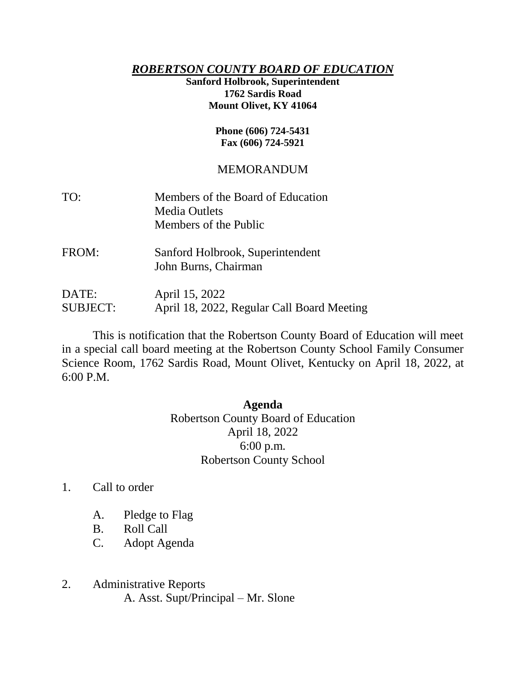## *ROBERTSON COUNTY BOARD OF EDUCATION*

**Sanford Holbrook, Superintendent 1762 Sardis Road Mount Olivet, KY 41064**

## **Phone (606) 724-5431 Fax (606) 724-5921**

## MEMORANDUM

| TO: | Members of the Board of Education |
|-----|-----------------------------------|
|     | <b>Media Outlets</b>              |
|     | Members of the Public             |
|     |                                   |

FROM: Sanford Holbrook, Superintendent John Burns, Chairman

DATE: April 15, 2022 SUBJECT: April 18, 2022, Regular Call Board Meeting

This is notification that the Robertson County Board of Education will meet in a special call board meeting at the Robertson County School Family Consumer Science Room, 1762 Sardis Road, Mount Olivet, Kentucky on April 18, 2022, at 6:00 P.M.

## **Agenda**

Robertson County Board of Education April 18, 2022 6:00 p.m. Robertson County School

- 1. Call to order
	- A. Pledge to Flag
	- B. Roll Call
	- C. Adopt Agenda
- 2. Administrative Reports A. Asst. Supt/Principal – Mr. Slone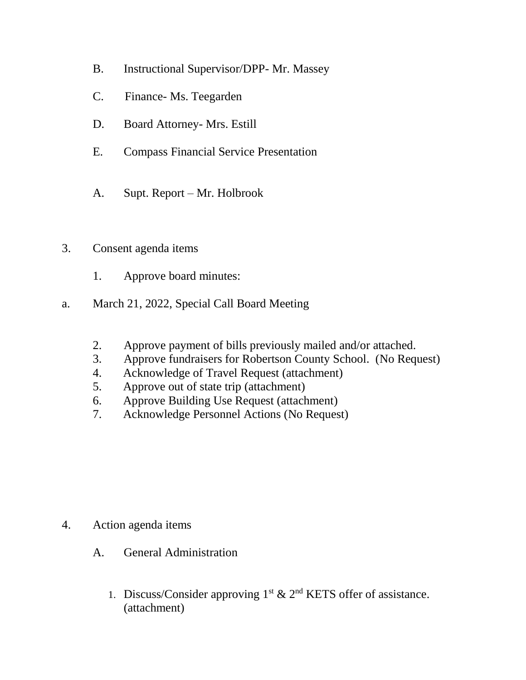- B. Instructional Supervisor/DPP- Mr. Massey
- C. Finance- Ms. Teegarden
- D. Board Attorney- Mrs. Estill
- E. Compass Financial Service Presentation
- A. Supt. Report Mr. Holbrook
- 3. Consent agenda items
	- 1. Approve board minutes:
- a. March 21, 2022, Special Call Board Meeting
	- 2. Approve payment of bills previously mailed and/or attached.
	- 3. Approve fundraisers for Robertson County School. (No Request)
	- 4. Acknowledge of Travel Request (attachment)
	- 5. Approve out of state trip (attachment)
	- 6. Approve Building Use Request (attachment)
	- 7. Acknowledge Personnel Actions (No Request)

- 4. Action agenda items
	- A. General Administration
		- 1. Discuss/Consider approving  $1<sup>st</sup>$  &  $2<sup>nd</sup>$  KETS offer of assistance. (attachment)